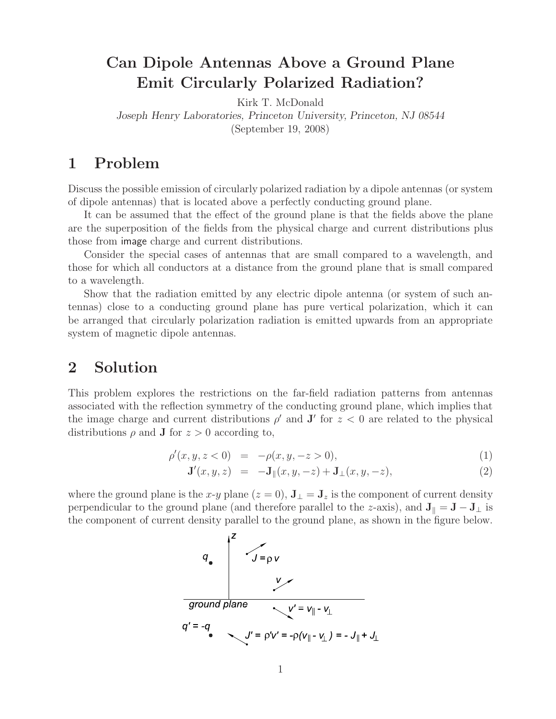# **Can Dipole Antennas Above a Ground Plane Emit Circularly Polarized Radiation?**

Kirk T. McDonald *Joseph Henry Laboratories, Princeton University, Princeton, NJ 08544* (September 19, 2008)

## **1 Problem**

Discuss the possible emission of circularly polarized radiation by a dipole antennas (or system of dipole antennas) that is located above a perfectly conducting ground plane.

It can be assumed that the effect of the ground plane is that the fields above the plane are the superposition of the fields from the physical charge and current distributions plus those from image charge and current distributions.

Consider the special cases of antennas that are small compared to a wavelength, and those for which all conductors at a distance from the ground plane that is small compared to a wavelength.

Show that the radiation emitted by any electric dipole antenna (or system of such antennas) close to a conducting ground plane has pure vertical polarization, which it can be arranged that circularly polarization radiation is emitted upwards from an appropriate system of magnetic dipole antennas.

### **2 Solution**

This problem explores the restrictions on the far-field radiation patterns from antennas associated with the reflection symmetry of the conducting ground plane, which implies that the image charge and current distributions  $\rho'$  and **J'** for  $z < 0$  are related to the physical distributions  $\rho$  and **J** for  $z > 0$  according to,

$$
\rho'(x, y, z < 0) = -\rho(x, y, -z > 0),\tag{1}
$$

$$
\mathbf{J}'(x, y, z) = -\mathbf{J}_{\parallel}(x, y, -z) + \mathbf{J}_{\perp}(x, y, -z), \tag{2}
$$

where the ground plane is the x-y plane  $(z = 0)$ ,  $\mathbf{J}_{\perp} = \mathbf{J}_z$  is the component of current density perpendicular to the ground plane (and therefore parallel to the z-axis), and  $J_{\parallel} = J - J_{\perp}$  is the component of current density parallel to the ground plane, as shown in the figure below.

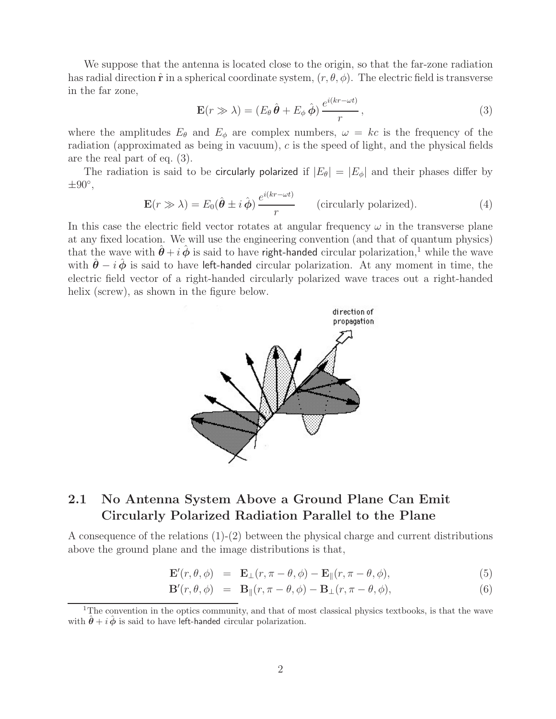We suppose that the antenna is located close to the origin, so that the far-zone radiation has radial direction  $\hat{\mathbf{r}}$  in a spherical coordinate system,  $(r, \theta, \phi)$ . The electric field is transverse in the far zone,

$$
\mathbf{E}(r \gg \lambda) = (E_{\theta} \,\hat{\theta} + E_{\phi} \,\hat{\phi}) \, \frac{e^{i(kr - \omega t)}}{r},\tag{3}
$$

where the amplitudes  $E_{\theta}$  and  $E_{\phi}$  are complex numbers,  $\omega = kc$  is the frequency of the radiation (approximated as being in vacuum), c is the speed of light, and the physical fields are the real part of eq. (3).

The radiation is said to be circularly polarized if  $|E_{\theta}| = |E_{\phi}|$  and their phases differ by  $\pm 90^\circ$ ,

$$
\mathbf{E}(r \gg \lambda) = E_0(\hat{\boldsymbol{\theta}} \pm i \hat{\boldsymbol{\phi}}) \frac{e^{i(kr - \omega t)}}{r}
$$
 (circularly polarized). (4)

In this case the electric field vector rotates at angular frequency  $\omega$  in the transverse plane at any fixed location. We will use the engineering convention (and that of quantum physics) that the wave with  $\hat{\theta} + i \hat{\phi}$  is said to have right-handed circular polarization,<sup>1</sup> while the wave with  $\hat{\theta} - i \hat{\phi}$  is said to have left-handed circular polarization. At any moment in time, the electric field vector of a right-handed circularly polarized wave traces out a right-handed helix (screw), as shown in the figure below.



### **2.1 No Antenna System Above a Ground Plane Can Emit Circularly Polarized Radiation Parallel to the Plane**

A consequence of the relations (1)-(2) between the physical charge and current distributions above the ground plane and the image distributions is that,

$$
\mathbf{E}'(r,\theta,\phi) = \mathbf{E}_{\perp}(r,\pi-\theta,\phi) - \mathbf{E}_{\parallel}(r,\pi-\theta,\phi), \tag{5}
$$

$$
\mathbf{B}'(r,\theta,\phi) = \mathbf{B}_{\parallel}(r,\pi-\theta,\phi) - \mathbf{B}_{\perp}(r,\pi-\theta,\phi), \tag{6}
$$

<sup>&</sup>lt;sup>1</sup>The convention in the optics community, and that of most classical physics textbooks, is that the wave with  $\hat{\theta} + i \hat{\phi}$  is said to have left-handed circular polarization.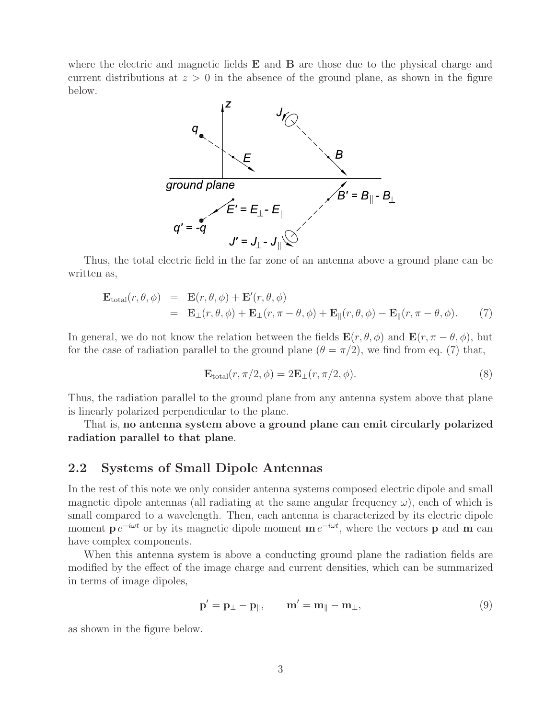where the electric and magnetic fields **E** and **B** are those due to the physical charge and current distributions at  $z > 0$  in the absence of the ground plane, as shown in the figure below.



Thus, the total electric field in the far zone of an antenna above a ground plane can be written as,

$$
\mathbf{E}_{\text{total}}(r,\theta,\phi) = \mathbf{E}(r,\theta,\phi) + \mathbf{E}'(r,\theta,\phi)
$$
  
=  $\mathbf{E}_{\perp}(r,\theta,\phi) + \mathbf{E}_{\perp}(r,\pi-\theta,\phi) + \mathbf{E}_{\parallel}(r,\theta,\phi) - \mathbf{E}_{\parallel}(r,\pi-\theta,\phi).$  (7)

In general, we do not know the relation between the fields  $\mathbf{E}(r, \theta, \phi)$  and  $\mathbf{E}(r, \pi - \theta, \phi)$ , but for the case of radiation parallel to the ground plane  $(\theta = \pi/2)$ , we find from eq. (7) that,

$$
\mathbf{E}_{\text{total}}(r, \pi/2, \phi) = 2\mathbf{E}_{\perp}(r, \pi/2, \phi). \tag{8}
$$

Thus, the radiation parallel to the ground plane from any antenna system above that plane is linearly polarized perpendicular to the plane.

That is, **no antenna system above a ground plane can emit circularly polarized radiation parallel to that plane**.

### **2.2 Systems of Small Dipole Antennas**

In the rest of this note we only consider antenna systems composed electric dipole and small magnetic dipole antennas (all radiating at the same angular frequency  $\omega$ ), each of which is small compared to a wavelength. Then, each antenna is characterized by its electric dipole moment  $p e^{-i\omega t}$  or by its magnetic dipole moment  $m e^{-i\omega t}$ , where the vectors p and m can have complex components.

When this antenna system is above a conducting ground plane the radiation fields are modified by the effect of the image charge and current densities, which can be summarized in terms of image dipoles,

$$
\mathbf{p}' = \mathbf{p}_{\perp} - \mathbf{p}_{\parallel}, \qquad \mathbf{m}' = \mathbf{m}_{\parallel} - \mathbf{m}_{\perp}, \tag{9}
$$

as shown in the figure below.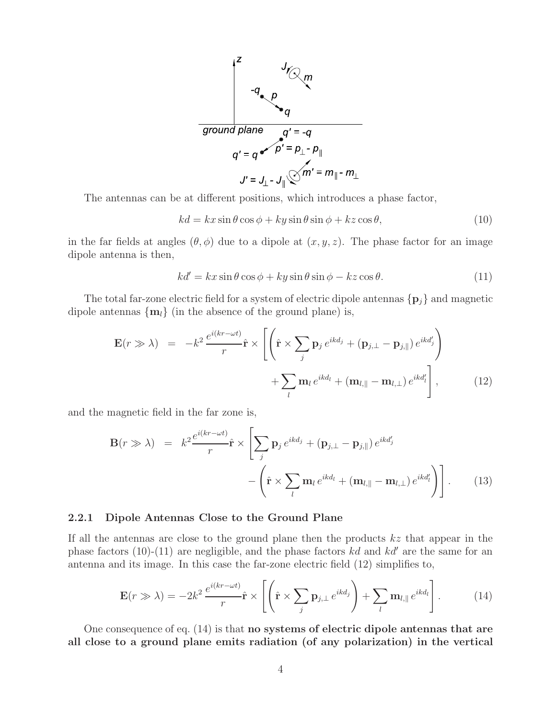

The antennas can be at different positions, which introduces a phase factor,

$$
kd = kx\sin\theta\cos\phi + ky\sin\theta\sin\phi + kz\cos\theta, \tag{10}
$$

in the far fields at angles  $(\theta, \phi)$  due to a dipole at  $(x, y, z)$ . The phase factor for an image dipole antenna is then,

$$
kd' = kx \sin \theta \cos \phi + ky \sin \theta \sin \phi - kz \cos \theta.
$$
 (11)

The total far-zone electric field for a system of electric dipole antennas  $\{p_j\}$  and magnetic dipole antennas  $\{m_l\}$  (in the absence of the ground plane) is,

$$
\mathbf{E}(r \gg \lambda) = -k^2 \frac{e^{i(kr - \omega t)}}{r} \hat{\mathbf{r}} \times \left[ \left( \hat{\mathbf{r}} \times \sum_j \mathbf{p}_j e^{ikd_j} + (\mathbf{p}_{j,\perp} - \mathbf{p}_{j,\parallel}) e^{ikd'_j} \right) + \sum_l \mathbf{m}_l e^{ikd_l} + (\mathbf{m}_{l,\parallel} - \mathbf{m}_{l,\perp}) e^{ikd'_l} \right],
$$
(12)

and the magnetic field in the far zone is,

$$
\mathbf{B}(r \gg \lambda) = k^2 \frac{e^{i(kr - \omega t)}}{r} \hat{\mathbf{r}} \times \left[ \sum_j \mathbf{p}_j e^{ikd_j} + (\mathbf{p}_{j,\perp} - \mathbf{p}_{j,\parallel}) e^{ikd'_j} - \left( \hat{\mathbf{r}} \times \sum_l \mathbf{m}_l e^{ikd_l} + (\mathbf{m}_{l,\parallel} - \mathbf{m}_{l,\perp}) e^{ikd'_l} \right) \right].
$$
 (13)

#### **2.2.1 Dipole Antennas Close to the Ground Plane**

If all the antennas are close to the ground plane then the products  $kz$  that appear in the phase factors (10)-(11) are negligible, and the phase factors  $kd$  and  $kd'$  are the same for an antenna and its image. In this case the far-zone electric field (12) simplifies to,

$$
\mathbf{E}(r \gg \lambda) = -2k^2 \frac{e^{i(kr - \omega t)}}{r} \hat{\mathbf{r}} \times \left[ \left( \hat{\mathbf{r}} \times \sum_j \mathbf{p}_{j,\perp} e^{ikd_j} \right) + \sum_l \mathbf{m}_{l,\parallel} e^{ikd_l} \right]. \tag{14}
$$

One consequence of eq. (14) is that **no systems of electric dipole antennas that are all close to a ground plane emits radiation (of any polarization) in the vertical**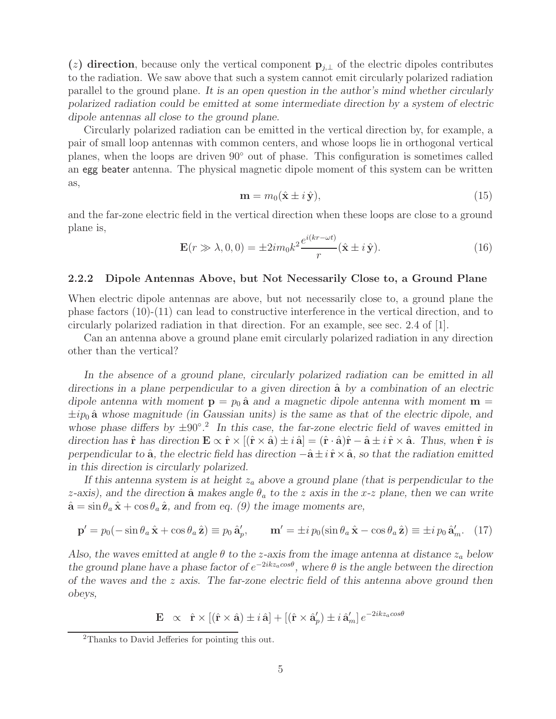(*z*) direction, because only the vertical component  $\mathbf{p}_{i,\perp}$  of the electric dipoles contributes to the radiation. We saw above that such a system cannot emit circularly polarized radiation parallel to the ground plane. *It is an open question in the author's mind whether circularly polarized radiation could be emitted at some intermediate direction by a system of electric dipole antennas all close to the ground plane.*

Circularly polarized radiation can be emitted in the vertical direction by, for example, a pair of small loop antennas with common centers, and whose loops lie in orthogonal vertical planes, when the loops are driven 90◦ out of phase. This configuration is sometimes called an egg beater antenna. The physical magnetic dipole moment of this system can be written as,

$$
\mathbf{m} = m_0(\hat{\mathbf{x}} \pm i\,\hat{\mathbf{y}}),\tag{15}
$$

and the far-zone electric field in the vertical direction when these loops are close to a ground plane is,

$$
\mathbf{E}(r \gg \lambda, 0, 0) = \pm 2im_0 k^2 \frac{e^{i(kr - \omega t)}}{r} (\hat{\mathbf{x}} \pm i\,\hat{\mathbf{y}}).
$$
 (16)

### **2.2.2 Dipole Antennas Above, but Not Necessarily Close to, a Ground Plane**

When electric dipole antennas are above, but not necessarily close to, a ground plane the phase factors (10)-(11) can lead to constructive interference in the vertical direction, and to circularly polarized radiation in that direction. For an example, see sec. 2.4 of [1].

Can an antenna above a ground plane emit circularly polarized radiation in any direction other than the vertical?

*In the absence of a ground plane, circularly polarized radiation can be emitted in all* directions in a plane perpendicular to a given direction  $\hat{a}$  by a combination of an electric *dipole antenna with moment*  $p = p_0 \hat{a}$  *and a magnetic dipole antenna with moment*  $m =$  $\pm i p_0$   $\hat{\mathbf{a}}$  whose magnitude (in Gaussian units) is the same as that of the electric dipole, and *whose phase differs by* ±90◦*.* <sup>2</sup> *In this case, the far-zone electric field of waves emitted in direction has*  $\hat{\mathbf{r}}$  *has direction*  $\mathbf{E} \propto \hat{\mathbf{r}} \times [(\hat{\mathbf{r}} \times \hat{\mathbf{a}}) \pm i \hat{\mathbf{a}}] = (\hat{\mathbf{r}} \cdot \hat{\mathbf{a}})\hat{\mathbf{r}} - \hat{\mathbf{a}} \pm i \hat{\mathbf{r}} \times \hat{\mathbf{a}}$ *. Thus, when*  $\hat{\mathbf{r}}$  *is perpendicular to*  $\hat{a}$ *, the electric field has direction*  $-\hat{a} \pm i \hat{r} \times \hat{a}$ *, so that the radiation emitted in this direction is circularly polarized.*

If this antenna system is at height  $z_a$  above a ground plane (that is perpendicular to the *z*-axis), and the direction  $\hat{a}$  makes angle  $\theta_a$  to the *z* axis in the *x*-*z* plane, then we can write  $\hat{\mathbf{a}} = \sin \theta_a \hat{\mathbf{x}} + \cos \theta_a \hat{\mathbf{z}}$ *, and from eq. (9) the image moments are,* 

$$
\mathbf{p}' = p_0(-\sin\theta_a\,\hat{\mathbf{x}} + \cos\theta_a\,\hat{\mathbf{z}}) \equiv p_0\,\hat{\mathbf{a}}'_p, \qquad \mathbf{m}' = \pm i\,p_0(\sin\theta_a\,\hat{\mathbf{x}} - \cos\theta_a\,\hat{\mathbf{z}}) \equiv \pm i\,p_0\,\hat{\mathbf{a}}'_m. \tag{17}
$$

*Also, the waves emitted at angle*  $\theta$  *to the z-axis from the image antenna at distance*  $z_a$  *below the ground plane have a phase factor of*  $e^{-2ikz_a\cos\theta}$ , where  $\theta$  *is the angle between the direction of the waves and the* z *axis. The far-zone electric field of this antenna above ground then obeys,*

$$
\mathbf{E} \propto \hat{\mathbf{r}} \times [(\hat{\mathbf{r}} \times \hat{\mathbf{a}}) \pm i \hat{\mathbf{a}}] + [(\hat{\mathbf{r}} \times \hat{\mathbf{a}}_p') \pm i \hat{\mathbf{a}}_m'] e^{-2ikz_a cos\theta}
$$

<sup>2</sup>Thanks to David Jefferies for pointing this out.